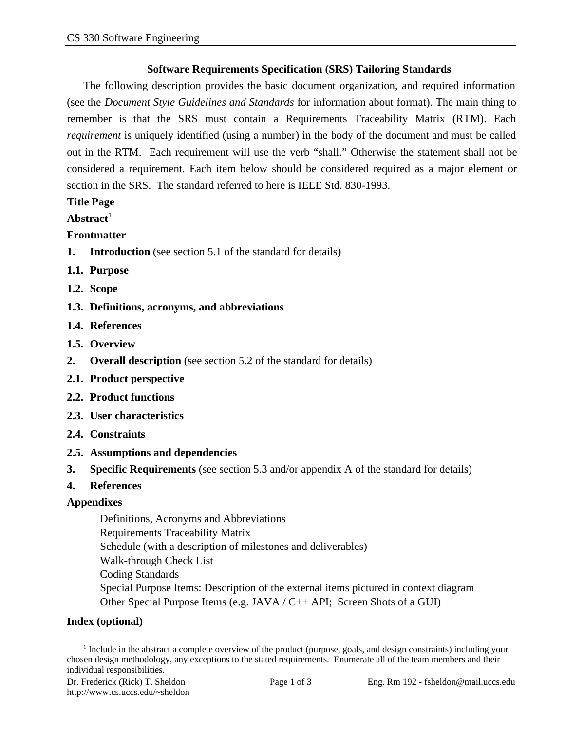#### **Software Requirements Specification (SRS) Tailoring Standards**

The following description provides the basic document organization, and required information (see the *Document Style Guidelines and Standards* for information about format). The main thing to remember is that the SRS must contain a Requirements Traceability Matrix (RTM). Each *requirement* is uniquely identified (using a number) in the body of the document and must be called out in the RTM. Each requirement will use the verb "shall." Otherwise the statement shall not be considered a requirement. Each item below should be considered required as a major element or section in the SRS. The standard referred to here is IEEE Std. 830-1993.

# **Title Page**

#### Abstract<sup>1</sup>

# **Frontmatter**

- **1. Introduction** (see section 5.1 of the standard for details)
- **1.1. Purpose**
- **1.2. Scope**
- **1.3. Definitions, acronyms, and abbreviations**
- **1.4. References**
- **1.5. Overview**
- **2. Overall description** (see section 5.2 of the standard for details)
- **2.1. Product perspective**
- **2.2. Product functions**
- **2.3. User characteristics**
- **2.4. Constraints**
- **2.5. Assumptions and dependencies**
- **3. Specific Requirements** (see section 5.3 and/or appendix A of the standard for details)
- **4. References**

#### **Appendixes**

Definitions, Acronyms and Abbreviations Requirements Traceability Matrix Schedule (with a description of milestones and deliverables) Walk-through Check List Coding Standards Special Purpose Items: Description of the external items pictured in context diagram Other Special Purpose Items (e.g. JAVA / C++ API; Screen Shots of a GUI)

# **Index (optional)**

l

<sup>&</sup>lt;sup>1</sup> Include in the abstract a complete overview of the product (purpose, goals, and design constraints) including your chosen design methodology, any exceptions to the stated requirements. Enumerate all of the team members and their individual responsibilities.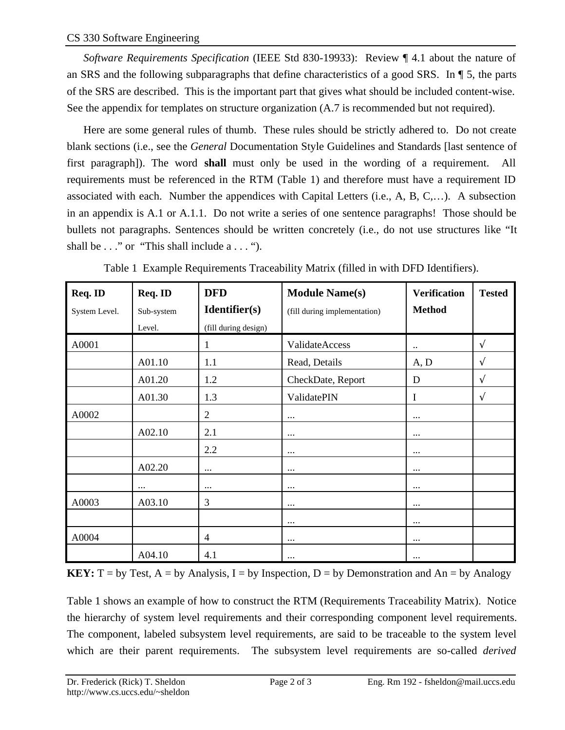*Software Requirements Specification* (IEEE Std 830-19933): Review ¶ 4.1 about the nature of an SRS and the following subparagraphs that define characteristics of a good SRS. In ¶ 5, the parts of the SRS are described. This is the important part that gives what should be included content-wise. See the appendix for templates on structure organization  $(A.7)$  is recommended but not required).

Here are some general rules of thumb. These rules should be strictly adhered to. Do not create blank sections (i.e., see the *General* Documentation Style Guidelines and Standards [last sentence of first paragraph]). The word **shall** must only be used in the wording of a requirement. All requirements must be referenced in the RTM (Table 1) and therefore must have a requirement ID associated with each. Number the appendices with Capital Letters (i.e., A, B, C,…). A subsection in an appendix is A.1 or A.1.1. Do not write a series of one sentence paragraphs! Those should be bullets not paragraphs. Sentences should be written concretely (i.e., do not use structures like "It shall be  $\ldots$ " or "This shall include a  $\ldots$ ").

| Req. ID       | Req. ID    | <b>DFD</b>           | <b>Module Name(s)</b>        | <b>Verification</b>  | <b>Tested</b> |
|---------------|------------|----------------------|------------------------------|----------------------|---------------|
| System Level. | Sub-system | Identifier(s)        | (fill during implementation) | <b>Method</b>        |               |
|               | Level.     | (fill during design) |                              |                      |               |
| A0001         |            | 1                    | ValidateAccess               | $\ddot{\phantom{1}}$ |               |
|               | A01.10     | 1.1                  | Read, Details                | A, D                 |               |
|               | A01.20     | 1.2                  | CheckDate, Report            | D                    |               |
|               | A01.30     | 1.3                  | ValidatePIN                  | I                    |               |
| A0002         |            | $\overline{2}$       | $\cdots$                     | $\cdots$             |               |
|               | A02.10     | 2.1                  | $\cdots$                     |                      |               |
|               |            | 2.2                  | $\cdots$                     | $\cdots$             |               |
|               | A02.20     | $\cdots$             | $\cdots$                     | $\cdots$             |               |
|               | $\cdots$   |                      | $\cdots$                     | $\cdots$             |               |
| A0003         | A03.10     | 3                    | $\cdots$                     | $\cdots$             |               |
|               |            |                      | $\cdots$                     | $\cdots$             |               |
| A0004         |            | $\overline{4}$       | $\cdots$                     |                      |               |
|               | A04.10     | 4.1                  | $\cdots$                     | $\cdots$             |               |

Table 1 Example Requirements Traceability Matrix (filled in with DFD Identifiers).

**KEY:**  $T = by Test, A = by Analysis, I = by Inspection, D = by Demonstration and An = by Analogy$ 

Table 1 shows an example of how to construct the RTM (Requirements Traceability Matrix). Notice the hierarchy of system level requirements and their corresponding component level requirements. The component, labeled subsystem level requirements, are said to be traceable to the system level which are their parent requirements. The subsystem level requirements are so-called *derived*